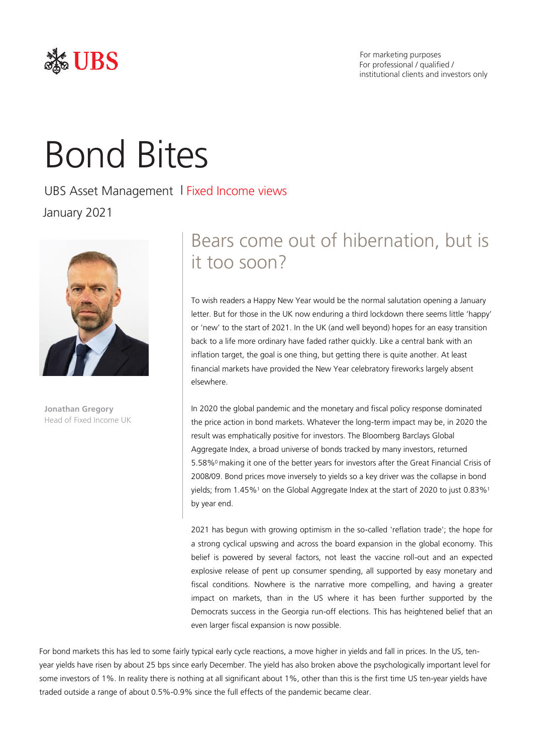

# Bond Bites

UBS Asset Management | Fixed Income views January 2021



**Jonathan Gregory** Head of Fixed Income UK

# Bears come out of hibernation, but is it too soon?

To wish readers a Happy New Year would be the normal salutation opening a January letter. But for those in the UK now enduring a third lockdown there seems little 'happy' or 'new' to the start of 2021. In the UK (and well beyond) hopes for an easy transition back to a life more ordinary have faded rather quickly. Like a central bank with an inflation target, the goal is one thing, but getting there is quite another. At least financial markets have provided the New Year celebratory fireworks largely absent elsewhere.

In 2020 the global pandemic and the monetary and fiscal policy response dominated the price action in bond markets. Whatever the long-term impact may be, in 2020 the result was emphatically positive for investors. The Bloomberg Barclays Global Aggregate Index, a broad universe of bonds tracked by many investors, returned 5.58%0 making it one of the better years for investors after the Great Financial Crisis of 2008/09. Bond prices move inversely to yields so a key driver was the collapse in bond yields; from 1.45%1 on the Global Aggregate Index at the start of 2020 to just 0.83%1 by year end.

2021 has begun with growing optimism in the so-called 'reflation trade'; the hope for a strong cyclical upswing and across the board expansion in the global economy. This belief is powered by several factors, not least the vaccine roll-out and an expected explosive release of pent up consumer spending, all supported by easy monetary and fiscal conditions. Nowhere is the narrative more compelling, and having a greater impact on markets, than in the US where it has been further supported by the Democrats success in the Georgia run-off elections. This has heightened belief that an even larger fiscal expansion is now possible.

For bond markets this has led to some fairly typical early cycle reactions, a move higher in yields and fall in prices. In the US, tenyear yields have risen by about 25 bps since early December. The yield has also broken above the psychologically important level for some investors of 1%. In reality there is nothing at all significant about 1%, other than this is the first time US ten-year yields have traded outside a range of about 0.5%-0.9% since the full effects of the pandemic became clear.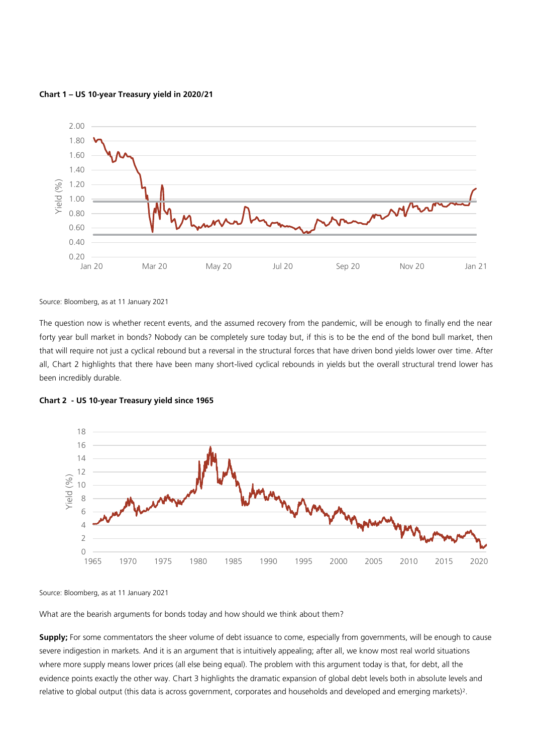

**Chart 1 – US 10-year Treasury yield in 2020/21**

Source: Bloomberg, as at 11 January 2021

The question now is whether recent events, and the assumed recovery from the pandemic, will be enough to finally end the near forty year bull market in bonds? Nobody can be completely sure today but, if this is to be the end of the bond bull market, then that will require not just a cyclical rebound but a reversal in the structural forces that have driven bond yields lower over time. After all, Chart 2 highlights that there have been many short-lived cyclical rebounds in yields but the overall structural trend lower has been incredibly durable.



**Chart 2 - US 10-year Treasury yield since 1965**

Source: Bloomberg, as at 11 January 2021

What are the bearish arguments for bonds today and how should we think about them?

**Supply;** For some commentators the sheer volume of debt issuance to come, especially from governments, will be enough to cause severe indigestion in markets. And it is an argument that is intuitively appealing; after all, we know most real world situations where more supply means lower prices (all else being equal). The problem with this argument today is that, for debt, all the evidence points exactly the other way. Chart 3 highlights the dramatic expansion of global debt levels both in absolute levels and relative to global output (this data is across government, corporates and households and developed and emerging markets)<sup>2</sup> .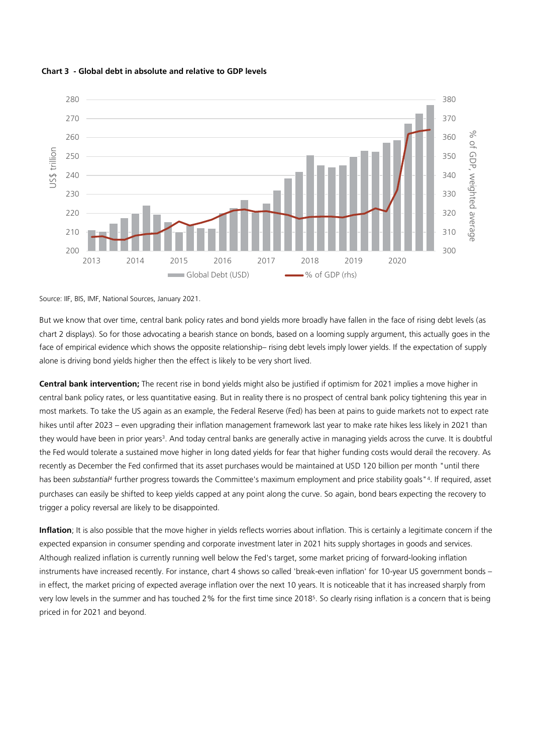



# Source: IIF, BIS, IMF, National Sources, January 2021.

But we know that over time, central bank policy rates and bond yields more broadly have fallen in the face of rising debt levels (as chart 2 displays). So for those advocating a bearish stance on bonds, based on a looming supply argument, this actually goes in the face of empirical evidence which shows the opposite relationship– rising debt levels imply lower yields. If the expectation of supply alone is driving bond yields higher then the effect is likely to be very short lived.

**Central bank intervention;** The recent rise in bond yields might also be justified if optimism for 2021 implies a move higher in central bank policy rates, or less quantitative easing. But in reality there is no prospect of central bank policy tightening this year in most markets. To take the US again as an example, the Federal Reserve (Fed) has been at pains to guide markets not to expect rate hikes until after 2023 – even upgrading their inflation management framework last year to make rate hikes less likely in 2021 than they would have been in prior years<sup>3</sup>. And today central banks are generally active in managing yields across the curve. It is doubtful the Fed would tolerate a sustained move higher in long dated yields for fear that higher funding costs would derail the recovery. As recently as December the Fed confirmed that its asset purchases would be maintained at USD 120 billion per month "until there has been substantial<sup>4</sup> further progress towards the Committee's maximum employment and price stability goals"<sup>4</sup>. If required, asset purchases can easily be shifted to keep yields capped at any point along the curve. So again, bond bears expecting the recovery to trigger a policy reversal are likely to be disappointed.

**Inflation**; It is also possible that the move higher in yields reflects worries about inflation. This is certainly a legitimate concern if the expected expansion in consumer spending and corporate investment later in 2021 hits supply shortages in goods and services. Although realized inflation is currently running well below the Fed's target, some market pricing of forward-looking inflation instruments have increased recently. For instance, chart 4 shows so called 'break-even inflation' for 10-year US government bonds – in effect, the market pricing of expected average inflation over the next 10 years. It is noticeable that it has increased sharply from very low levels in the summer and has touched 2% for the first time since 2018<sup>5</sup> . So clearly rising inflation is a concern that is being priced in for 2021 and beyond.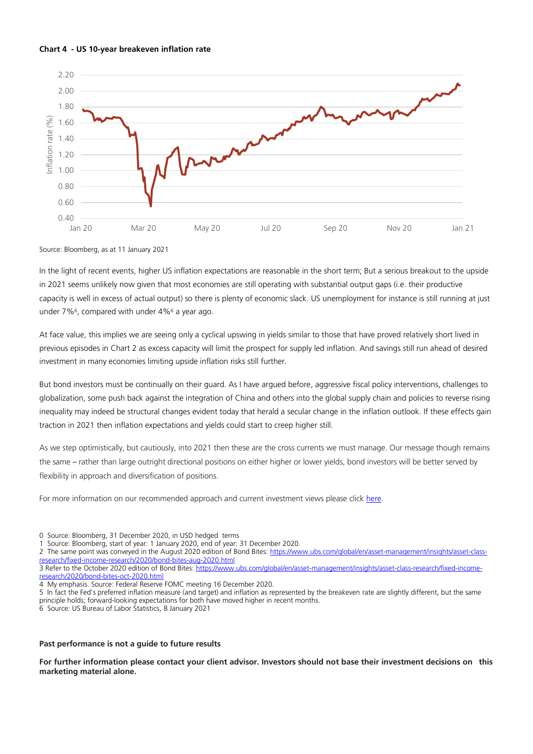



Source: Bloomberg, as at 11 January 2021

In the light of recent events, higher US inflation expectations are reasonable in the short term; But a serious breakout to the upside in 2021 seems unlikely now given that most economies are still operating with substantial output gaps (i.e. their productive capacity is well in excess of actual output) so there is plenty of economic slack. US unemployment for instance is still running at just under 7%<sup>6</sup> , compared with under 4%<sup>6</sup> a year ago.

At face value, this implies we are seeing only a cyclical upswing in yields similar to those that have proved relatively short lived in previous episodes in Chart 2 as excess capacity will limit the prospect for supply led inflation. And savings still run ahead of desired investment in many economies limiting upside inflation risks still further.

But bond investors must be continually on their guard. As I have argued before, aggressive fiscal policy interventions, challenges to globalization, some push back against the integration of China and others into the global supply chain and policies to reverse rising inequality may indeed be structural changes evident today that herald a secular change in the inflation outlook. If these effects gain traction in 2021 then inflation expectations and yields could start to creep higher still.

As we step optimistically, but cautiously, into 2021 then these are the cross currents we must manage. Our message though remains the same – rather than large outright directional positions on either higher or lower yields, bond investors will be better served by flexibility in approach and diversification of positions.

For more information on our recommended approach and current investment views please click [here.](https://www.ubs.com/global/en/asset-management/insights/asset-class-research/fixed-income-research/fixed-income-pm-corner.html)

0 Source: Bloomberg, 31 December 2020, in USD hedged terms

1 Source: Bloomberg, start of year: 1 January 2020, end of year: 31 December 2020.

The same point was conveyed in the August 2020 edition of Bond Bites[: https://www.ubs.com/global/en/asset-management/insights/asset-class](https://www.ubs.com/global/en/asset-management/insights/asset-class-research/fixed-income-research/2020/bond-bites-aug-2020.html)[research/fixed-income-research/2020/bond-bites-aug-2020.html](https://www.ubs.com/global/en/asset-management/insights/asset-class-research/fixed-income-research/2020/bond-bites-aug-2020.html)

3 Refer to the October 2020 edition of Bond Bites[: https://www.ubs.com/global/en/asset-management/insights/asset-class-research/fixed-income](https://www.ubs.com/global/en/asset-management/insights/asset-class-research/fixed-income-research/2020/bond-bites-oct-2020.html)[research/2020/bond-bites-oct-2020.html](https://www.ubs.com/global/en/asset-management/insights/asset-class-research/fixed-income-research/2020/bond-bites-oct-2020.html)

4 My emphasis. Source: Federal Reserve FOMC meeting 16 December 2020.

5 In fact the Fed's preferred inflation measure (and target) and inflation as represented by the breakeven rate are slightly different, but the same principle holds; forward-looking expectations for both have moved higher in recent months.

6 Source: US Bureau of Labor Statistics, 8 January 2021

# **Past performance is not a guide to future results**

For further information please contact your client advisor. Investors should not base their investment decisions on this **marketing material alone.**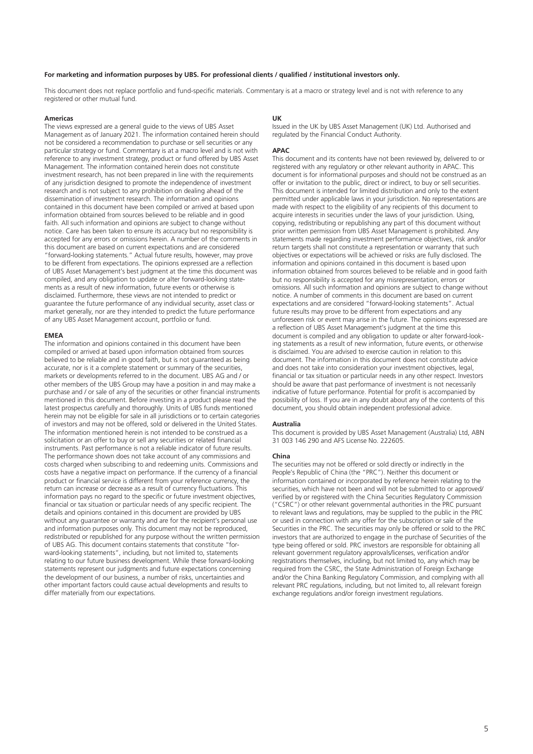# **For marketing and information purposes by UBS. For professional clients / qualified / institutional investors only.**

This document does not replace portfolio and fund-specific materials. Commentary is at a macro or strategy level and is not with reference to any registered or other mutual fund.

## **Americas**

The views expressed are a general guide to the views of UBS Asset Management as of January 2021. The information contained herein should not be considered a recommendation to purchase or sell securities or any particular strategy or fund. Commentary is at a macro level and is not with reference to any investment strategy, product or fund offered by UBS Asset Management. The information contained herein does not constitute investment research, has not been prepared in line with the requirements of any jurisdiction designed to promote the independence of investment research and is not subject to any prohibition on dealing ahead of the dissemination of investment research. The information and opinions contained in this document have been compiled or arrived at based upon information obtained from sources believed to be reliable and in good faith. All such information and opinions are subject to change without notice. Care has been taken to ensure its accuracy but no responsibility is accepted for any errors or omissions herein. A number of the comments in this document are based on current expectations and are considered "forward-looking statements." Actual future results, however, may prove to be different from expectations. The opinions expressed are a reflection of UBS Asset Management's best judgment at the time this document was compiled, and any obligation to update or alter forward-looking statements as a result of new information, future events or otherwise is disclaimed. Furthermore, these views are not intended to predict or guarantee the future performance of any individual security, asset class or market generally, nor are they intended to predict the future performance of any UBS Asset Management account, portfolio or fund.

#### **EMEA**

The information and opinions contained in this document have been compiled or arrived at based upon information obtained from sources believed to be reliable and in good faith, but is not guaranteed as being accurate, nor is it a complete statement or summary of the securities, markets or developments referred to in the document. UBS AG and / or other members of the UBS Group may have a position in and may make a purchase and / or sale of any of the securities or other financial instruments mentioned in this document. Before investing in a product please read the latest prospectus carefully and thoroughly. Units of UBS funds mentioned herein may not be eligible for sale in all jurisdictions or to certain categories of investors and may not be offered, sold or delivered in the United States. The information mentioned herein is not intended to be construed as a solicitation or an offer to buy or sell any securities or related financial instruments. Past performance is not a reliable indicator of future results. The performance shown does not take account of any commissions and costs charged when subscribing to and redeeming units. Commissions and costs have a negative impact on performance. If the currency of a financial product or financial service is different from your reference currency, the return can increase or decrease as a result of currency fluctuations. This information pays no regard to the specific or future investment objectives, financial or tax situation or particular needs of any specific recipient. The details and opinions contained in this document are provided by UBS without any quarantee or warranty and are for the recipient's personal use and information purposes only. This document may not be reproduced, redistributed or republished for any purpose without the written permission of UBS AG. This document contains statements that constitute "forward-looking statements", including, but not limited to, statements relating to our future business development. While these forward-looking statements represent our judgments and future expectations concerning the development of our business, a number of risks, uncertainties and other important factors could cause actual developments and results to differ materially from our expectations.

# **UK**

Issued in the UK by UBS Asset Management (UK) Ltd. Authorised and regulated by the Financial Conduct Authority.

# **APAC**

This document and its contents have not been reviewed by, delivered to or registered with any regulatory or other relevant authority in APAC. This document is for informational purposes and should not be construed as an offer or invitation to the public, direct or indirect, to buy or sell securities. This document is intended for limited distribution and only to the extent permitted under applicable laws in your jurisdiction. No representations are made with respect to the eligibility of any recipients of this document to acquire interests in securities under the laws of your jurisdiction. Using, copying, redistributing or republishing any part of this document without prior written permission from UBS Asset Management is prohibited. Any statements made regarding investment performance objectives, risk and/or return targets shall not constitute a representation or warranty that such objectives or expectations will be achieved or risks are fully disclosed. The information and opinions contained in this document is based upon information obtained from sources believed to be reliable and in good faith but no responsibility is accepted for any misrepresentation, errors or omissions. All such information and opinions are subject to change without notice. A number of comments in this document are based on current expectations and are considered "forward-looking statements". Actual future results may prove to be different from expectations and any unforeseen risk or event may arise in the future. The opinions expressed are a reflection of UBS Asset Management's judgment at the time this document is compiled and any obligation to update or alter forward-looking statements as a result of new information, future events, or otherwise is disclaimed. You are advised to exercise caution in relation to this document. The information in this document does not constitute advice and does not take into consideration your investment objectives, legal, financial or tax situation or particular needs in any other respect. Investors should be aware that past performance of investment is not necessarily indicative of future performance. Potential for profit is accompanied by possibility of loss. If you are in any doubt about any of the contents of this document, you should obtain independent professional advice.

## **Australia**

This document is provided by UBS Asset Management (Australia) Ltd, ABN 31 003 146 290 and AFS License No. 222605.

#### **China**

The securities may not be offered or sold directly or indirectly in the People's Republic of China (the "PRC"). Neither this document or information contained or incorporated by reference herein relating to the securities, which have not been and will not be submitted to or approved/ verified by or registered with the China Securities Regulatory Commission ("CSRC") or other relevant governmental authorities in the PRC pursuant to relevant laws and regulations, may be supplied to the public in the PRC or used in connection with any offer for the subscription or sale of the Securities in the PRC. The securities may only be offered or sold to the PRC investors that are authorized to engage in the purchase of Securities of the type being offered or sold. PRC investors are responsible for obtaining all relevant government regulatory approvals/licenses, verification and/or registrations themselves, including, but not limited to, any which may be required from the CSRC, the State Administration of Foreign Exchange and/or the China Banking Regulatory Commission, and complying with all relevant PRC regulations, including, but not limited to, all relevant foreign exchange regulations and/or foreign investment regulations.